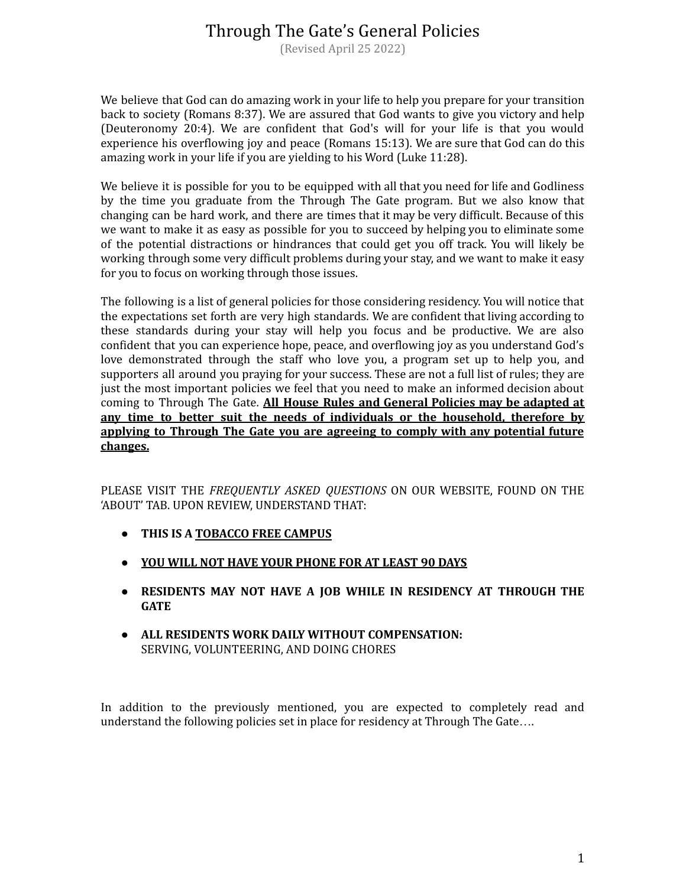(Revised April 25 2022)

We believe that God can do amazing work in your life to help you prepare for your transition back to society (Romans 8:37). We are assured that God wants to give you victory and help (Deuteronomy 20:4). We are confident that God's will for your life is that you would experience his overflowing joy and peace (Romans 15:13). We are sure that God can do this amazing work in your life if you are yielding to his Word (Luke 11:28).

We believe it is possible for you to be equipped with all that you need for life and Godliness by the time you graduate from the Through The Gate program. But we also know that changing can be hard work, and there are times that it may be very difficult. Because of this we want to make it as easy as possible for you to succeed by helping you to eliminate some of the potential distractions or hindrances that could get you off track. You will likely be working through some very difficult problems during your stay, and we want to make it easy for you to focus on working through those issues.

The following is a list of general policies for those considering residency. You will notice that the expectations set forth are very high standards. We are confident that living according to these standards during your stay will help you focus and be productive. We are also confident that you can experience hope, peace, and overflowing joy as you understand God's love demonstrated through the staff who love you, a program set up to help you, and supporters all around you praying for your success. These are not a full list of rules; they are just the most important policies we feel that you need to make an informed decision about coming to Through The Gate. **All House Rules and General Policies may be adapted at any time to better suit the needs of individuals or the household, therefore by applying to Through The Gate you are agreeing to comply with any potential future changes.**

PLEASE VISIT THE *FREQUENTLY ASKED QUESTIONS* ON OUR WEBSITE, FOUND ON THE 'ABOUT' TAB. UPON REVIEW, UNDERSTAND THAT:

- **● THIS IS A TOBACCO FREE CAMPUS**
- **● YOU WILL NOT HAVE YOUR PHONE FOR AT LEAST 90 DAYS**
- **● RESIDENTS MAY NOT HAVE A JOB WHILE IN RESIDENCY AT THROUGH THE GATE**
- **● ALL RESIDENTS WORK DAILY WITHOUT COMPENSATION:** SERVING, VOLUNTEERING, AND DOING CHORES

In addition to the previously mentioned, you are expected to completely read and understand the following policies set in place for residency at Through The Gate….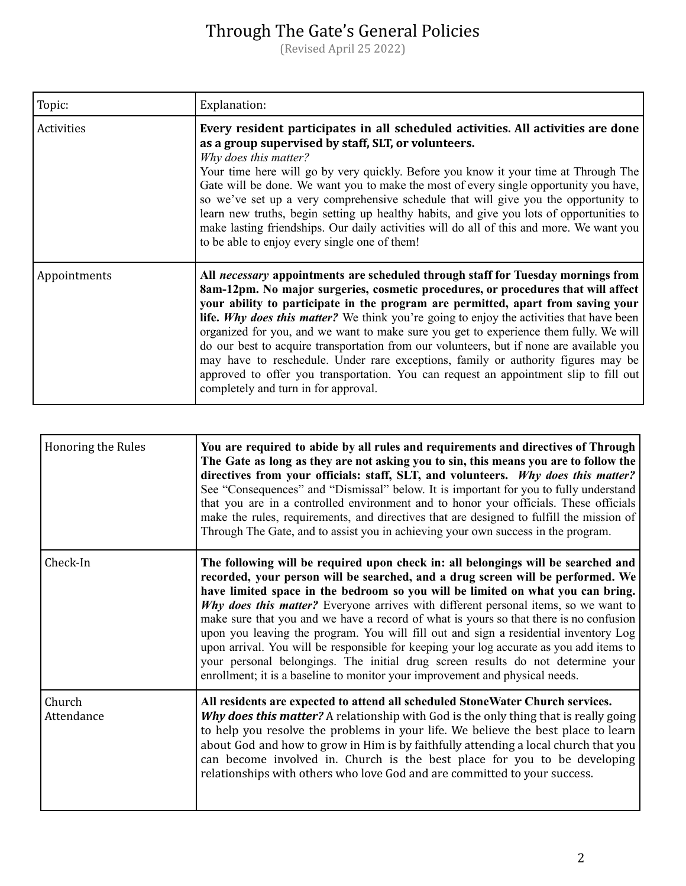| Topic:       | Explanation:                                                                                                                                                                                                                                                                                                                                                                                                                                                                                                                                                                                                                                                                                                                                                            |
|--------------|-------------------------------------------------------------------------------------------------------------------------------------------------------------------------------------------------------------------------------------------------------------------------------------------------------------------------------------------------------------------------------------------------------------------------------------------------------------------------------------------------------------------------------------------------------------------------------------------------------------------------------------------------------------------------------------------------------------------------------------------------------------------------|
| Activities   | Every resident participates in all scheduled activities. All activities are done<br>as a group supervised by staff, SLT, or volunteers.<br>Why does this matter?<br>Your time here will go by very quickly. Before you know it your time at Through The<br>Gate will be done. We want you to make the most of every single opportunity you have,<br>so we've set up a very comprehensive schedule that will give you the opportunity to<br>learn new truths, begin setting up healthy habits, and give you lots of opportunities to<br>make lasting friendships. Our daily activities will do all of this and more. We want you<br>to be able to enjoy every single one of them!                                                                                        |
| Appointments | All necessary appointments are scheduled through staff for Tuesday mornings from<br>8am-12pm. No major surgeries, cosmetic procedures, or procedures that will affect<br>your ability to participate in the program are permitted, apart from saving your<br><b>life.</b> Why does this matter? We think you're going to enjoy the activities that have been<br>organized for you, and we want to make sure you get to experience them fully. We will<br>do our best to acquire transportation from our volunteers, but if none are available you<br>may have to reschedule. Under rare exceptions, family or authority figures may be<br>approved to offer you transportation. You can request an appointment slip to fill out<br>completely and turn in for approval. |

| <b>Honoring the Rules</b> | You are required to abide by all rules and requirements and directives of Through<br>The Gate as long as they are not asking you to sin, this means you are to follow the<br>directives from your officials: staff, SLT, and volunteers. Why does this matter?<br>See "Consequences" and "Dismissal" below. It is important for you to fully understand<br>that you are in a controlled environment and to honor your officials. These officials<br>make the rules, requirements, and directives that are designed to fulfill the mission of<br>Through The Gate, and to assist you in achieving your own success in the program.                                                                                                                                                              |
|---------------------------|------------------------------------------------------------------------------------------------------------------------------------------------------------------------------------------------------------------------------------------------------------------------------------------------------------------------------------------------------------------------------------------------------------------------------------------------------------------------------------------------------------------------------------------------------------------------------------------------------------------------------------------------------------------------------------------------------------------------------------------------------------------------------------------------|
| Check-In                  | The following will be required upon check in: all belongings will be searched and<br>recorded, your person will be searched, and a drug screen will be performed. We<br>have limited space in the bedroom so you will be limited on what you can bring.<br>Why does this matter? Everyone arrives with different personal items, so we want to<br>make sure that you and we have a record of what is yours so that there is no confusion<br>upon you leaving the program. You will fill out and sign a residential inventory Log<br>upon arrival. You will be responsible for keeping your log accurate as you add items to<br>your personal belongings. The initial drug screen results do not determine your<br>enrollment; it is a baseline to monitor your improvement and physical needs. |
| Church<br>Attendance      | All residents are expected to attend all scheduled StoneWater Church services.<br>Why does this matter? A relationship with God is the only thing that is really going<br>to help you resolve the problems in your life. We believe the best place to learn<br>about God and how to grow in Him is by faithfully attending a local church that you<br>can become involved in. Church is the best place for you to be developing<br>relationships with others who love God and are committed to your success.                                                                                                                                                                                                                                                                                   |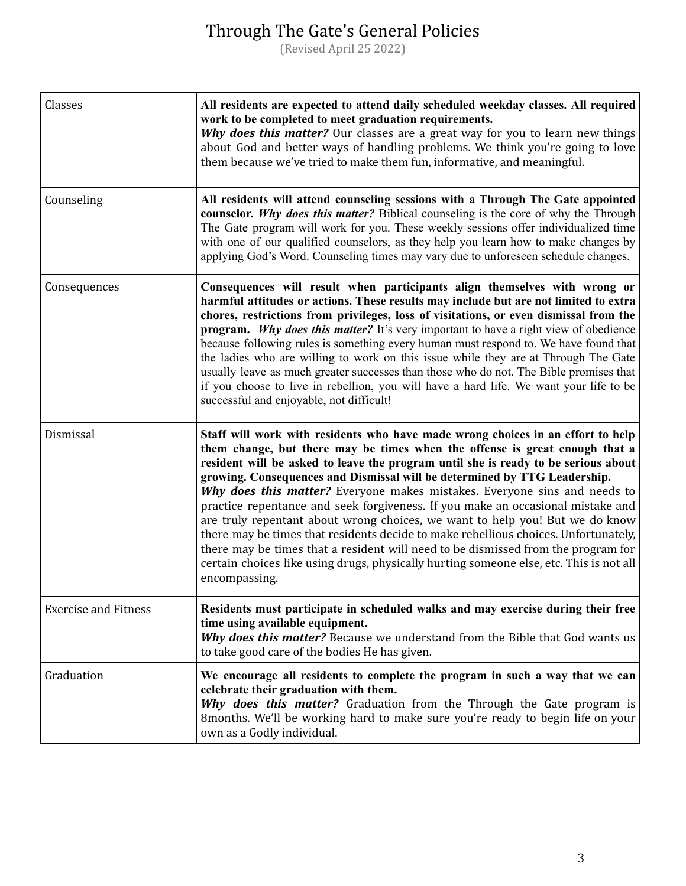| Classes                     | All residents are expected to attend daily scheduled weekday classes. All required<br>work to be completed to meet graduation requirements.<br>Why does this matter? Our classes are a great way for you to learn new things<br>about God and better ways of handling problems. We think you're going to love<br>them because we've tried to make them fun, informative, and meaningful.                                                                                                                                                                                                                                                                                                                                                                                                                                                                                  |
|-----------------------------|---------------------------------------------------------------------------------------------------------------------------------------------------------------------------------------------------------------------------------------------------------------------------------------------------------------------------------------------------------------------------------------------------------------------------------------------------------------------------------------------------------------------------------------------------------------------------------------------------------------------------------------------------------------------------------------------------------------------------------------------------------------------------------------------------------------------------------------------------------------------------|
| Counseling                  | All residents will attend counseling sessions with a Through The Gate appointed<br>counselor. Why does this matter? Biblical counseling is the core of why the Through<br>The Gate program will work for you. These weekly sessions offer individualized time<br>with one of our qualified counselors, as they help you learn how to make changes by<br>applying God's Word. Counseling times may vary due to unforeseen schedule changes.                                                                                                                                                                                                                                                                                                                                                                                                                                |
| Consequences                | Consequences will result when participants align themselves with wrong or<br>harmful attitudes or actions. These results may include but are not limited to extra<br>chores, restrictions from privileges, loss of visitations, or even dismissal from the<br><b>program.</b> Why does this matter? It's very important to have a right view of obedience<br>because following rules is something every human must respond to. We have found that<br>the ladies who are willing to work on this issue while they are at Through The Gate<br>usually leave as much greater successes than those who do not. The Bible promises that<br>if you choose to live in rebellion, you will have a hard life. We want your life to be<br>successful and enjoyable, not difficult!                                                                                                  |
| Dismissal                   | Staff will work with residents who have made wrong choices in an effort to help<br>them change, but there may be times when the offense is great enough that a<br>resident will be asked to leave the program until she is ready to be serious about<br>growing. Consequences and Dismissal will be determined by TTG Leadership.<br>Why does this matter? Everyone makes mistakes. Everyone sins and needs to<br>practice repentance and seek forgiveness. If you make an occasional mistake and<br>are truly repentant about wrong choices, we want to help you! But we do know<br>there may be times that residents decide to make rebellious choices. Unfortunately,<br>there may be times that a resident will need to be dismissed from the program for<br>certain choices like using drugs, physically hurting someone else, etc. This is not all<br>encompassing. |
| <b>Exercise and Fitness</b> | Residents must participate in scheduled walks and may exercise during their free<br>time using available equipment.<br>Why does this matter? Because we understand from the Bible that God wants us<br>to take good care of the bodies He has given.                                                                                                                                                                                                                                                                                                                                                                                                                                                                                                                                                                                                                      |
| Graduation                  | We encourage all residents to complete the program in such a way that we can<br>celebrate their graduation with them.<br>Why does this matter? Graduation from the Through the Gate program is<br>8months. We'll be working hard to make sure you're ready to begin life on your<br>own as a Godly individual.                                                                                                                                                                                                                                                                                                                                                                                                                                                                                                                                                            |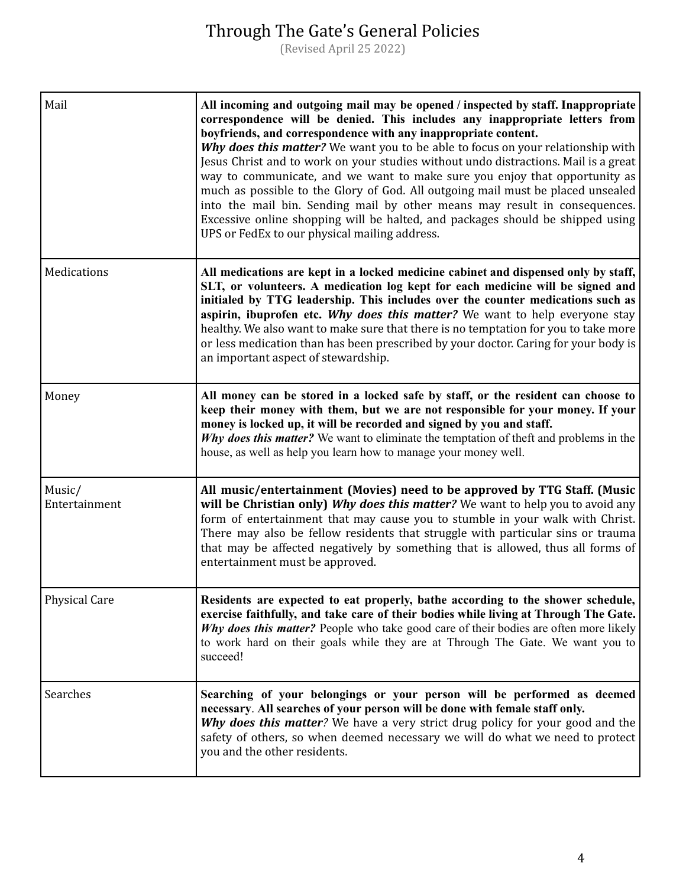| Mail                    | All incoming and outgoing mail may be opened / inspected by staff. Inappropriate<br>correspondence will be denied. This includes any inappropriate letters from<br>boyfriends, and correspondence with any inappropriate content.<br>Why does this matter? We want you to be able to focus on your relationship with<br>Jesus Christ and to work on your studies without undo distractions. Mail is a great<br>way to communicate, and we want to make sure you enjoy that opportunity as<br>much as possible to the Glory of God. All outgoing mail must be placed unsealed<br>into the mail bin. Sending mail by other means may result in consequences.<br>Excessive online shopping will be halted, and packages should be shipped using<br>UPS or FedEx to our physical mailing address. |
|-------------------------|-----------------------------------------------------------------------------------------------------------------------------------------------------------------------------------------------------------------------------------------------------------------------------------------------------------------------------------------------------------------------------------------------------------------------------------------------------------------------------------------------------------------------------------------------------------------------------------------------------------------------------------------------------------------------------------------------------------------------------------------------------------------------------------------------|
| Medications             | All medications are kept in a locked medicine cabinet and dispensed only by staff,<br>SLT, or volunteers. A medication log kept for each medicine will be signed and<br>initialed by TTG leadership. This includes over the counter medications such as<br>aspirin, ibuprofen etc. Why does this matter? We want to help everyone stay<br>healthy. We also want to make sure that there is no temptation for you to take more<br>or less medication than has been prescribed by your doctor. Caring for your body is<br>an important aspect of stewardship.                                                                                                                                                                                                                                   |
| Money                   | All money can be stored in a locked safe by staff, or the resident can choose to<br>keep their money with them, but we are not responsible for your money. If your<br>money is locked up, it will be recorded and signed by you and staff.<br>Why does this matter? We want to eliminate the temptation of theft and problems in the<br>house, as well as help you learn how to manage your money well.                                                                                                                                                                                                                                                                                                                                                                                       |
| Music/<br>Entertainment | All music/entertainment (Movies) need to be approved by TTG Staff. (Music<br>will be Christian only) Why does this matter? We want to help you to avoid any<br>form of entertainment that may cause you to stumble in your walk with Christ.<br>There may also be fellow residents that struggle with particular sins or trauma<br>that may be affected negatively by something that is allowed, thus all forms of<br>entertainment must be approved.                                                                                                                                                                                                                                                                                                                                         |
| <b>Physical Care</b>    | Residents are expected to eat properly, bathe according to the shower schedule,<br>exercise faithfully, and take care of their bodies while living at Through The Gate.<br>Why does this matter? People who take good care of their bodies are often more likely<br>to work hard on their goals while they are at Through The Gate. We want you to<br>succeed!                                                                                                                                                                                                                                                                                                                                                                                                                                |
| Searches                | Searching of your belongings or your person will be performed as deemed<br>necessary. All searches of your person will be done with female staff only.<br>Why does this matter? We have a very strict drug policy for your good and the<br>safety of others, so when deemed necessary we will do what we need to protect<br>you and the other residents.                                                                                                                                                                                                                                                                                                                                                                                                                                      |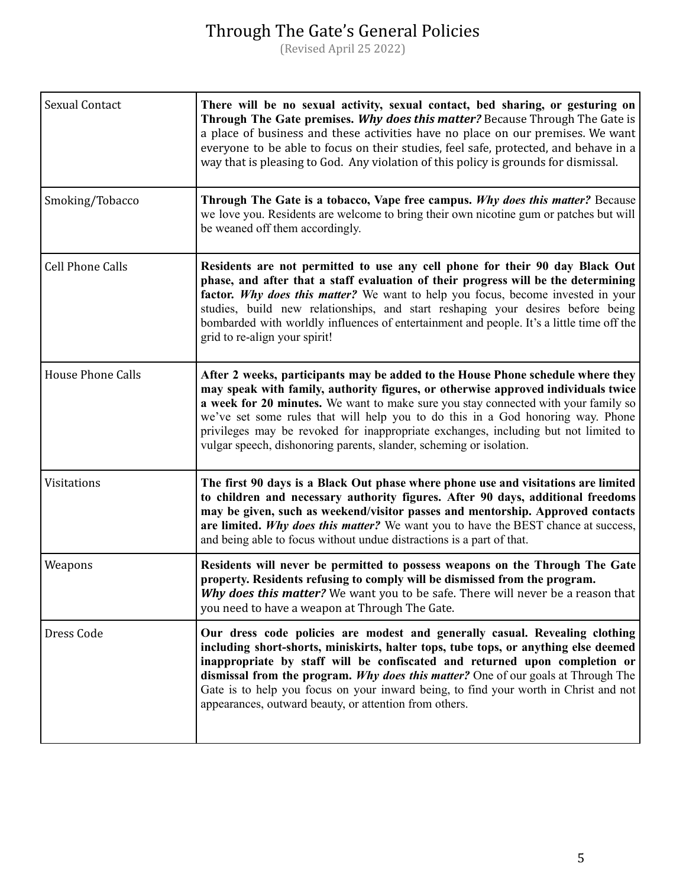| Sexual Contact           | There will be no sexual activity, sexual contact, bed sharing, or gesturing on<br>Through The Gate premises. Why does this matter? Because Through The Gate is<br>a place of business and these activities have no place on our premises. We want<br>everyone to be able to focus on their studies, feel safe, protected, and behave in a<br>way that is pleasing to God. Any violation of this policy is grounds for dismissal.                                                                            |
|--------------------------|-------------------------------------------------------------------------------------------------------------------------------------------------------------------------------------------------------------------------------------------------------------------------------------------------------------------------------------------------------------------------------------------------------------------------------------------------------------------------------------------------------------|
| Smoking/Tobacco          | Through The Gate is a tobacco, Vape free campus. Why does this matter? Because<br>we love you. Residents are welcome to bring their own nicotine gum or patches but will<br>be weaned off them accordingly.                                                                                                                                                                                                                                                                                                 |
| <b>Cell Phone Calls</b>  | Residents are not permitted to use any cell phone for their 90 day Black Out<br>phase, and after that a staff evaluation of their progress will be the determining<br>factor. Why does this matter? We want to help you focus, become invested in your<br>studies, build new relationships, and start reshaping your desires before being<br>bombarded with worldly influences of entertainment and people. It's a little time off the<br>grid to re-align your spirit!                                     |
| <b>House Phone Calls</b> | After 2 weeks, participants may be added to the House Phone schedule where they<br>may speak with family, authority figures, or otherwise approved individuals twice<br>a week for 20 minutes. We want to make sure you stay connected with your family so<br>we've set some rules that will help you to do this in a God honoring way. Phone<br>privileges may be revoked for inappropriate exchanges, including but not limited to<br>vulgar speech, dishonoring parents, slander, scheming or isolation. |
| Visitations              | The first 90 days is a Black Out phase where phone use and visitations are limited<br>to children and necessary authority figures. After 90 days, additional freedoms<br>may be given, such as weekend/visitor passes and mentorship. Approved contacts<br>are limited. Why does this matter? We want you to have the BEST chance at success,<br>and being able to focus without undue distractions is a part of that.                                                                                      |
| Weapons                  | Residents will never be permitted to possess weapons on the Through The Gate<br>property. Residents refusing to comply will be dismissed from the program.<br>Why does this matter? We want you to be safe. There will never be a reason that<br>you need to have a weapon at Through The Gate.                                                                                                                                                                                                             |
| Dress Code               | Our dress code policies are modest and generally casual. Revealing clothing<br>including short-shorts, miniskirts, halter tops, tube tops, or anything else deemed<br>inappropriate by staff will be confiscated and returned upon completion or<br>dismissal from the program. Why does this matter? One of our goals at Through The<br>Gate is to help you focus on your inward being, to find your worth in Christ and not<br>appearances, outward beauty, or attention from others.                     |